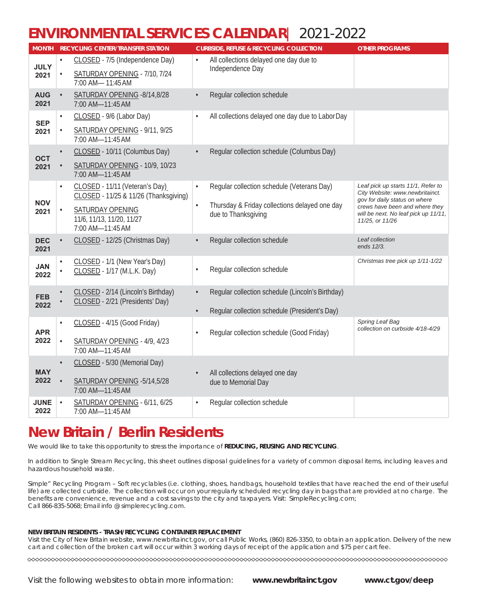## **ENVIRONMENTAL SERVICES CALENDAR**| 2021-2022

| <b>MONTH</b>        |           | <b>RECYCLING CENTER/TRANSFER STATION</b>                                |           | <b>CURBSIDE, REFUSE &amp; RECYCLING COLLECTION</b>         | <b>OTHER PROGRAMS</b>                                                 |
|---------------------|-----------|-------------------------------------------------------------------------|-----------|------------------------------------------------------------|-----------------------------------------------------------------------|
| <b>JULY</b><br>2021 |           | CLOSED - 7/5 (Independence Day)                                         |           | All collections delayed one day due to<br>Independence Day |                                                                       |
|                     |           | SATURDAY OPENING - 7/10, 7/24<br>7:00 AM- 11:45 AM                      |           |                                                            |                                                                       |
| <b>AUG</b><br>2021  | $\bullet$ | SATURDAY OPENING -8/14,8/28<br>7:00 AM-11:45 AM                         |           | Regular collection schedule                                |                                                                       |
| <b>SEP</b>          | $\bullet$ | CLOSED - 9/6 (Labor Day)                                                | $\bullet$ | All collections delayed one day due to Labor Day           |                                                                       |
| 2021                |           | SATURDAY OPENING - 9/11, 9/25<br>7:00 AM-11:45 AM                       |           |                                                            |                                                                       |
| <b>OCT</b>          |           | CLOSED - 10/11 (Columbus Day)                                           |           | Regular collection schedule (Columbus Day)                 |                                                                       |
| 2021                |           | SATURDAY OPENING - 10/9, 10/23<br>7:00 AM-11:45 AM                      |           |                                                            |                                                                       |
|                     | $\bullet$ | CLOSED - 11/11 (Veteran's Day)<br>CLOSED - 11/25 & 11/26 (Thanksgiving) | $\bullet$ | Regular collection schedule (Veterans Day)                 | Leaf pick up starts 11/1, Refer to<br>City Website: www.newbritainct. |
| <b>NOV</b>          |           | <b>SATURDAY OPENING</b>                                                 | $\bullet$ | Thursday & Friday collections delayed one day              | gov for daily status on where<br>crews have been and where they       |
| 2021                |           | 11/6, 11/13, 11/20, 11/27                                               |           | due to Thanksgiving                                        | will be next. No leaf pick up 11/11,<br>11/25, or 11/26               |
|                     |           | 7:00 AM-11:45 AM                                                        |           |                                                            |                                                                       |
| <b>DEC</b><br>2021  |           | CLOSED - 12/25 (Christmas Day)                                          |           | Regular collection schedule                                | Leaf collection<br>ends 12/3.                                         |
| <b>JAN</b>          |           | CLOSED - 1/1 (New Year's Day)                                           |           |                                                            | Christmas tree pick up 1/11-1/22                                      |
| 2022                |           | CLOSED - 1/17 (M.L.K. Day)                                              | $\bullet$ | Regular collection schedule                                |                                                                       |
|                     |           | CLOSED - 2/14 (Lincoln's Birthday)                                      | $\bullet$ | Regular collection schedule (Lincoln's Birthday)           |                                                                       |
| <b>FEB</b><br>2022  |           | CLOSED - 2/21 (Presidents' Day)                                         |           | Regular collection schedule (President's Day)              |                                                                       |
|                     |           | CLOSED - 4/15 (Good Friday)                                             |           |                                                            | Spring Leaf Bag                                                       |
| <b>APR</b>          |           |                                                                         | $\bullet$ | Regular collection schedule (Good Friday)                  | collection on curbside 4/18-4/29                                      |
| 2022                |           | SATURDAY OPENING - 4/9, 4/23<br>7:00 AM-11:45 AM                        |           |                                                            |                                                                       |
|                     |           | CLOSED - 5/30 (Memorial Day)                                            |           |                                                            |                                                                       |
| <b>MAY</b><br>2022  |           | SATURDAY OPENING - 5/14, 5/28                                           |           | All collections delayed one day                            |                                                                       |
|                     |           | 7:00 AM-11:45 AM                                                        |           | due to Memorial Day                                        |                                                                       |
| <b>JUNE</b>         | $\bullet$ | SATURDAY OPENING - 6/11, 6/25                                           | $\bullet$ | Regular collection schedule                                |                                                                       |
| 2022                |           | 7:00 AM-11:45 AM                                                        |           |                                                            |                                                                       |

## **New Britain / Berlin Residents**

We would like to take this opportunity to stress the importance of **REDUCING, REUSING AND RECYCLING**.

In addition to Single Stream Recycling, this sheet outlines disposal guidelines for a variety of common disposal items, including leaves and hazardous household waste.

Simple" Recycling Program – Soft recyclables (i.e. clothing, shoes, handbags, household textiles that have reached the end of their useful life) are collected curbside. The collection will occur on your regularly scheduled recycling day in bags that are provided at no charge. The benefits are convenience, revenue and a cost savings to the city and taxpayers. Visit: SimpleRecycling.com; Call 866-835-5068; Email info @ simplerecycling.com.

#### **NEW BRITAIN RESIDENTS - TRASH/RECYCLING CONTAINER REPLACEMENT**

Visit the City of New Britain website, www.newbritainct.gov, or call Public Works, (860) 826-3350, to obtain an application. Delivery of the new cart and collection of the broken cart will occur within 3 working days of receipt of the application and \$75 per cart fee.